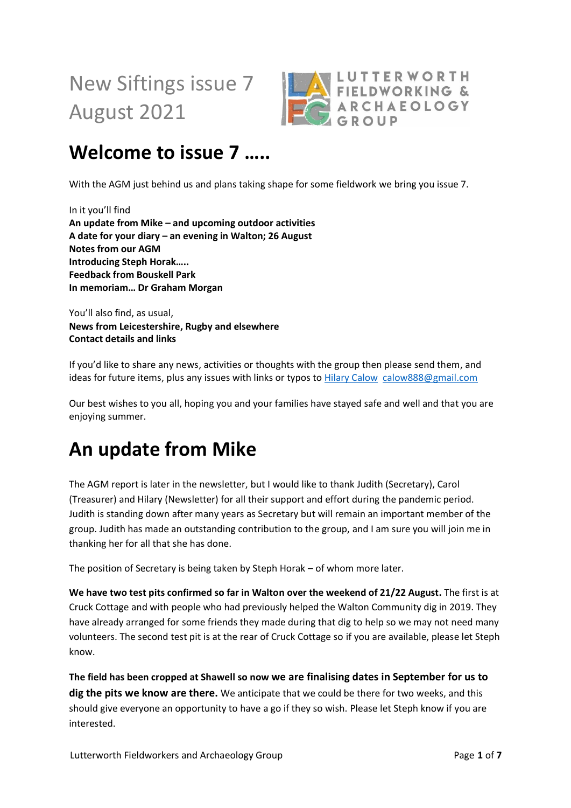New Siftings issue 7 August 2021



## **Welcome to issue 7 …..**

With the AGM just behind us and plans taking shape for some fieldwork we bring you issue 7.

In it you'll find **An update from Mike – and upcoming outdoor activities A date for your diary – an evening in Walton; 26 August Notes from our AGM Introducing Steph Horak….. Feedback from Bouskell Park In memoriam… Dr Graham Morgan** 

You'll also find, as usual, **News from Leicestershire, Rugby and elsewhere Contact details and links**

If you'd like to share any news, activities or thoughts with the group then please send them, and ideas for future items, plus any issues with links or typos to [Hilary Calow](mailto:calow888@gmail.com) [calow888@gmail.com](mailto:calow888@gmail.com)

Our best wishes to you all, hoping you and your families have stayed safe and well and that you are enjoying summer.

## **An update from Mike**

The AGM report is later in the newsletter, but I would like to thank Judith (Secretary), Carol (Treasurer) and Hilary (Newsletter) for all their support and effort during the pandemic period. Judith is standing down after many years as Secretary but will remain an important member of the group. Judith has made an outstanding contribution to the group, and I am sure you will join me in thanking her for all that she has done.

The position of Secretary is being taken by Steph Horak – of whom more later.

**We have two test pits confirmed so far in Walton over the weekend of 21/22 August.** The first is at Cruck Cottage and with people who had previously helped the Walton Community dig in 2019. They have already arranged for some friends they made during that dig to help so we may not need many volunteers. The second test pit is at the rear of Cruck Cottage so if you are available, please let Steph know.

**The field has been cropped at Shawell so now we are finalising dates in September for us to dig the pits we know are there.** We anticipate that we could be there for two weeks, and this should give everyone an opportunity to have a go if they so wish. Please let Steph know if you are interested.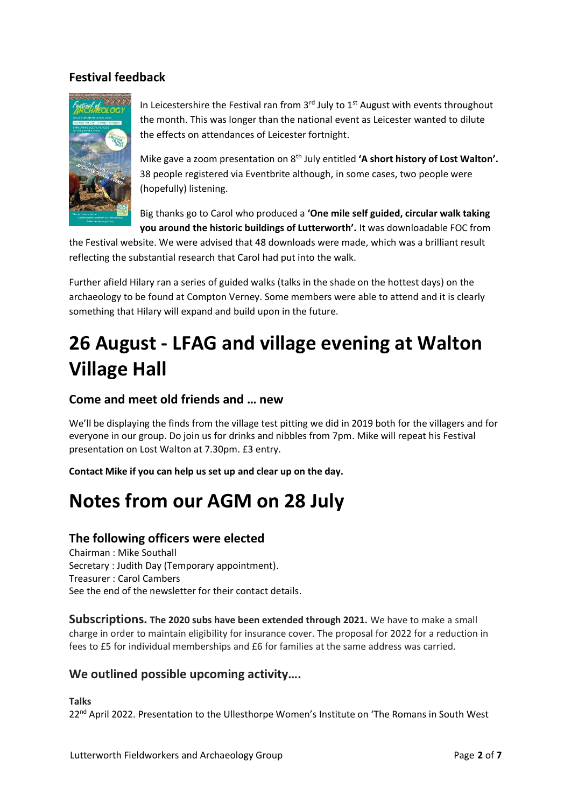### **Festival feedback**



In Leicestershire the Festival ran from  $3<sup>rd</sup>$  July to  $1<sup>st</sup>$  August with events throughout the month. This was longer than the national event as Leicester wanted to dilute the effects on attendances of Leicester fortnight.

Mike gave a zoom presentation on 8<sup>th</sup> July entitled 'A short history of Lost Walton'. 38 people registered via Eventbrite although, in some cases, two people were (hopefully) listening.

Big thanks go to Carol who produced a **'One mile self guided, circular walk taking you around the historic buildings of Lutterworth'.** It was downloadable FOC from

the Festival website. We were advised that 48 downloads were made, which was a brilliant result reflecting the substantial research that Carol had put into the walk.

Further afield Hilary ran a series of guided walks (talks in the shade on the hottest days) on the archaeology to be found at Compton Verney. Some members were able to attend and it is clearly something that Hilary will expand and build upon in the future.

# **26 August - LFAG and village evening at Walton Village Hall**

### **Come and meet old friends and … new**

We'll be displaying the finds from the village test pitting we did in 2019 both for the villagers and for everyone in our group. Do join us for drinks and nibbles from 7pm. Mike will repeat his Festival presentation on Lost Walton at 7.30pm. £3 entry.

**Contact Mike if you can help us set up and clear up on the day.**

# **Notes from our AGM on 28 July**

#### **The following officers were elected**

Chairman : Mike Southall Secretary : Judith Day (Temporary appointment). Treasurer : Carol Cambers See the end of the newsletter for their contact details.

**Subscriptions. The 2020 subs have been extended through 2021.** We have to make a small charge in order to maintain eligibility for insurance cover. The proposal for 2022 for a reduction in fees to £5 for individual memberships and £6 for families at the same address was carried.

#### **We outlined possible upcoming activity….**

**Talks** 22<sup>nd</sup> April 2022. Presentation to the Ullesthorpe Women's Institute on 'The Romans in South West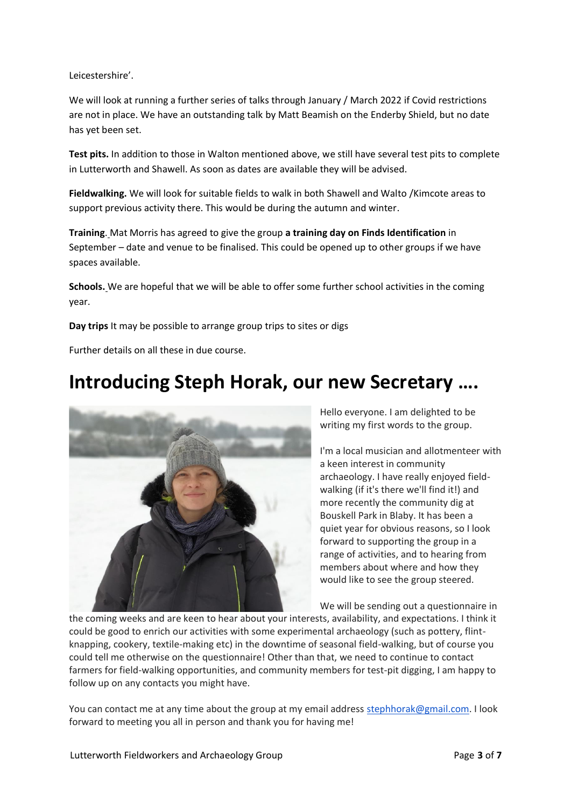Leicestershire'.

We will look at running a further series of talks through January / March 2022 if Covid restrictions are not in place. We have an outstanding talk by Matt Beamish on the Enderby Shield, but no date has yet been set.

**Test pits.** In addition to those in Walton mentioned above, we still have several test pits to complete in Lutterworth and Shawell. As soon as dates are available they will be advised.

**Fieldwalking.** We will look for suitable fields to walk in both Shawell and Walto /Kimcote areas to support previous activity there. This would be during the autumn and winter.

**Training**. Mat Morris has agreed to give the group **a training day on Finds Identification** in September – date and venue to be finalised. This could be opened up to other groups if we have spaces available.

**Schools.** We are hopeful that we will be able to offer some further school activities in the coming year.

**Day trips** It may be possible to arrange group trips to sites or digs

Further details on all these in due course.

## **Introducing Steph Horak, our new Secretary ….**



Hello everyone. I am delighted to be writing my first words to the group.

I'm a local musician and allotmenteer with a keen interest in community archaeology. I have really enjoyed fieldwalking (if it's there we'll find it!) and more recently the community dig at Bouskell Park in Blaby. It has been a quiet year for obvious reasons, so I look forward to supporting the group in a range of activities, and to hearing from members about where and how they would like to see the group steered.

We will be sending out a questionnaire in

the coming weeks and are keen to hear about your interests, availability, and expectations. I think it could be good to enrich our activities with some experimental archaeology (such as pottery, flintknapping, cookery, textile-making etc) in the downtime of seasonal field-walking, but of course you could tell me otherwise on the questionnaire! Other than that, we need to continue to contact farmers for field-walking opportunities, and community members for test-pit digging, I am happy to follow up on any contacts you might have.

You can contact me at any time about the group at my email address [stephhorak@gmail.com.](mailto:stephhorak@gmail.com) I look forward to meeting you all in person and thank you for having me!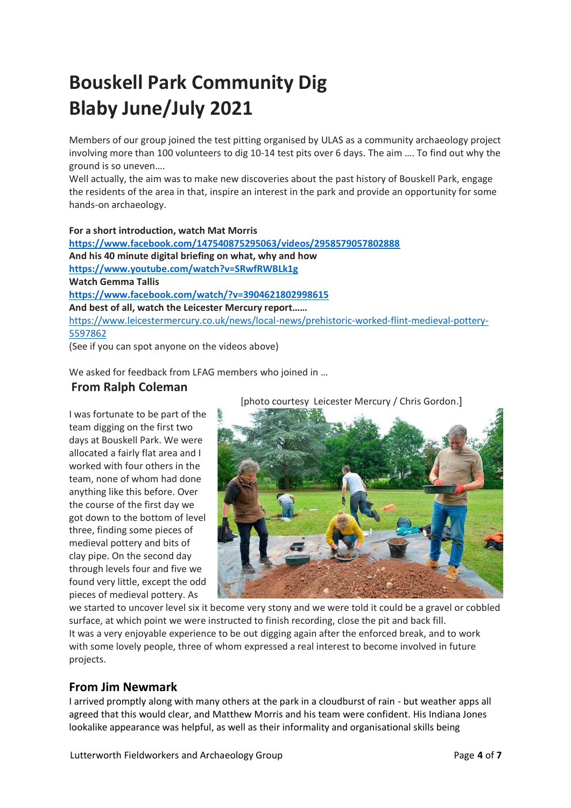# **Bouskell Park Community Dig Blaby June/July 2021**

Members of our group joined the test pitting organised by ULAS as a community archaeology project involving more than 100 volunteers to dig 10-14 test pits over 6 days. The aim …. To find out why the ground is so uneven….

Well actually, the aim was to make new discoveries about the past history of Bouskell Park, engage the residents of the area in that, inspire an interest in the park and provide an opportunity for some hands-on archaeology.

**For a short introduction, watch Mat Morris <https://www.facebook.com/147540875295063/videos/2958579057802888> And his 40 minute digital briefing on what, why and how <https://www.youtube.com/watch?v=SRwfRWBLk1g> Watch Gemma Tallis <https://www.facebook.com/watch/?v=3904621802998615> And best of all, watch the Leicester Mercury report……** [https://www.leicestermercury.co.uk/news/local-news/prehistoric-worked-flint-medieval-pottery-](https://www.leicestermercury.co.uk/news/local-news/prehistoric-worked-flint-medieval-pottery-5597862)[5597862](https://www.leicestermercury.co.uk/news/local-news/prehistoric-worked-flint-medieval-pottery-5597862)

(See if you can spot anyone on the videos above)

We asked for feedback from LFAG members who joined in …

### **From Ralph Coleman**

I was fortunate to be part of the team digging on the first two days at Bouskell Park. We were allocated a fairly flat area and I worked with four others in the team, none of whom had done anything like this before. Over the course of the first day we got down to the bottom of level three, finding some pieces of medieval pottery and bits of clay pipe. On the second day through levels four and five we found very little, except the odd pieces of medieval pottery. As

[photo courtesy Leicester Mercury / Chris Gordon.]



we started to uncover level six it become very stony and we were told it could be a gravel or cobbled surface, at which point we were instructed to finish recording, close the pit and back fill. It was a very enjoyable experience to be out digging again after the enforced break, and to work with some lovely people, three of whom expressed a real interest to become involved in future projects.

#### **From Jim Newmark**

I arrived promptly along with many others at the park in a cloudburst of rain - but weather apps all agreed that this would clear, and Matthew Morris and his team were confident. His Indiana Jones lookalike appearance was helpful, as well as their informality and organisational skills being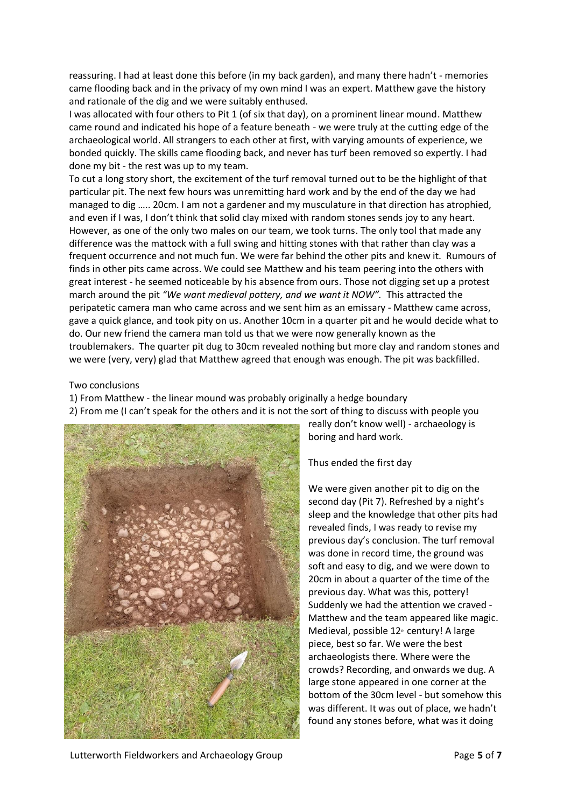reassuring. I had at least done this before (in my back garden), and many there hadn't - memories came flooding back and in the privacy of my own mind I was an expert. Matthew gave the history and rationale of the dig and we were suitably enthused.

I was allocated with four others to Pit 1 (of six that day), on a prominent linear mound. Matthew came round and indicated his hope of a feature beneath - we were truly at the cutting edge of the archaeological world. All strangers to each other at first, with varying amounts of experience, we bonded quickly. The skills came flooding back, and never has turf been removed so expertly. I had done my bit - the rest was up to my team.

To cut a long story short, the excitement of the turf removal turned out to be the highlight of that particular pit. The next few hours was unremitting hard work and by the end of the day we had managed to dig ….. 20cm. I am not a gardener and my musculature in that direction has atrophied, and even if I was, I don't think that solid clay mixed with random stones sends joy to any heart. However, as one of the only two males on our team, we took turns. The only tool that made any difference was the mattock with a full swing and hitting stones with that rather than clay was a frequent occurrence and not much fun. We were far behind the other pits and knew it. Rumours of finds in other pits came across. We could see Matthew and his team peering into the others with great interest - he seemed noticeable by his absence from ours. Those not digging set up a protest march around the pit *"We want medieval pottery, and we want it NOW".* This attracted the peripatetic camera man who came across and we sent him as an emissary - Matthew came across, gave a quick glance, and took pity on us. Another 10cm in a quarter pit and he would decide what to do. Our new friend the camera man told us that we were now generally known as the troublemakers. The quarter pit dug to 30cm revealed nothing but more clay and random stones and we were (very, very) glad that Matthew agreed that enough was enough. The pit was backfilled.

#### Two conclusions

1) From Matthew - the linear mound was probably originally a hedge boundary 2) From me (I can't speak for the others and it is not the sort of thing to discuss with people you



really don't know well) - archaeology is boring and hard work.

Thus ended the first day

We were given another pit to dig on the second day (Pit 7). Refreshed by a night's sleep and the knowledge that other pits had revealed finds, I was ready to revise my previous day's conclusion. The turf removal was done in record time, the ground was soft and easy to dig, and we were down to 20cm in about a quarter of the time of the previous day. What was this, pottery! Suddenly we had the attention we craved - Matthew and the team appeared like magic. Medieval, possible  $12<sup>th</sup>$  century! A large piece, best so far. We were the best archaeologists there. Where were the crowds? Recording, and onwards we dug. A large stone appeared in one corner at the bottom of the 30cm level - but somehow this was different. It was out of place, we hadn't found any stones before, what was it doing

Lutterworth Fieldworkers and Archaeology Group **Page 1 and Strutterworth Fieldworkers** and Archaeology Group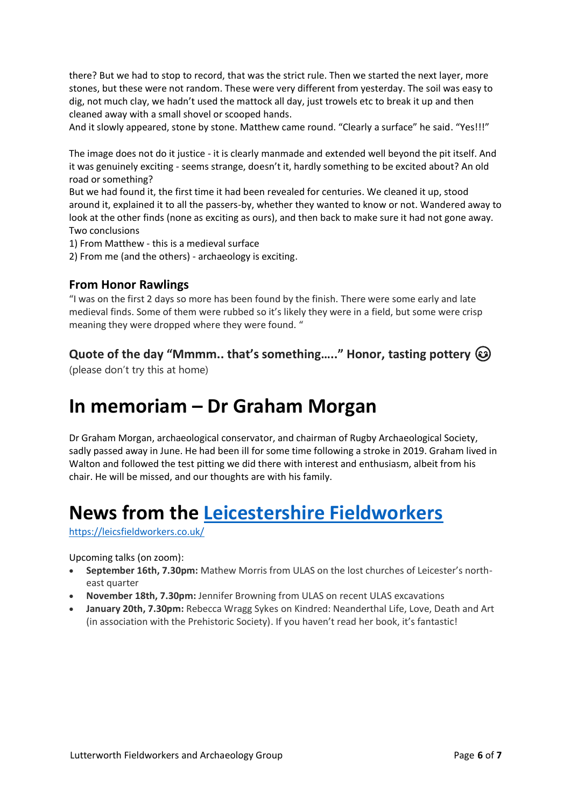there? But we had to stop to record, that was the strict rule. Then we started the next layer, more stones, but these were not random. These were very different from yesterday. The soil was easy to dig, not much clay, we hadn't used the mattock all day, just trowels etc to break it up and then cleaned away with a small shovel or scooped hands.

And it slowly appeared, stone by stone. Matthew came round. "Clearly a surface" he said. "Yes!!!"

The image does not do it justice - it is clearly manmade and extended well beyond the pit itself. And it was genuinely exciting - seems strange, doesn't it, hardly something to be excited about? An old road or something?

But we had found it, the first time it had been revealed for centuries. We cleaned it up, stood around it, explained it to all the passers-by, whether they wanted to know or not. Wandered away to look at the other finds (none as exciting as ours), and then back to make sure it had not gone away. Two conclusions

1) From Matthew - this is a medieval surface

2) From me (and the others) - archaeology is exciting.

#### **From Honor Rawlings**

"I was on the first 2 days so more has been found by the finish. There were some early and late medieval finds. Some of them were rubbed so it's likely they were in a field, but some were crisp meaning they were dropped where they were found. "

#### **Quote of the day "Mmmm.. that's something….." Honor, tasting pottery**

(please don't try this at home)

## **In memoriam – Dr Graham Morgan**

Dr Graham Morgan, archaeological conservator, and chairman of Rugby Archaeological Society, sadly passed away in June. He had been ill for some time following a stroke in 2019. Graham lived in Walton and followed the test pitting we did there with interest and enthusiasm, albeit from his chair. He will be missed, and our thoughts are with his family.

## **News from the [Leicestershire Fieldworkers](https://leicsfieldworkers.co.uk/)**

#### <https://leicsfieldworkers.co.uk/>

Upcoming talks (on zoom):

- **September 16th, 7.30pm:** Mathew Morris from ULAS on the lost churches of Leicester's northeast quarter
- **November 18th, 7.30pm:** Jennifer Browning from ULAS on recent ULAS excavations
- **January 20th, 7.30pm:** Rebecca Wragg Sykes on Kindred: Neanderthal Life, Love, Death and Art (in association with the Prehistoric Society). If you haven't read her book, it's fantastic!